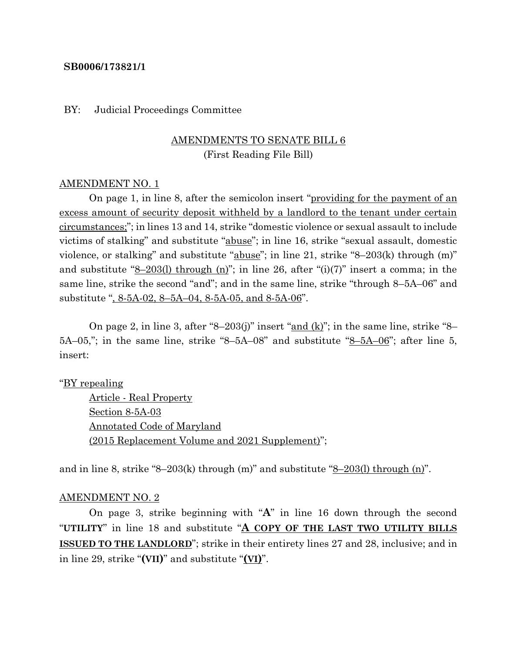### **SB0006/173821/1**

### BY: Judicial Proceedings Committee

# AMENDMENTS TO SENATE BILL 6 (First Reading File Bill)

### AMENDMENT NO. 1

On page 1, in line 8, after the semicolon insert "providing for the payment of an excess amount of security deposit withheld by a landlord to the tenant under certain circumstances;"; in lines 13 and 14, strike "domestic violence or sexual assault to include victims of stalking" and substitute "abuse"; in line 16, strike "sexual assault, domestic violence, or stalking" and substitute "abuse"; in line 21, strike "8–203(k) through (m)" and substitute " $8-203(1)$  through (n)"; in line 26, after "(i)(7)" insert a comma; in the same line, strike the second "and"; and in the same line, strike "through 8–5A–06" and substitute ", 8-5A-02, 8–5A–04, 8-5A-05, and 8-5A-06".

On page 2, in line 3, after "8–203(j)" insert " $\underline{and}$  (k)"; in the same line, strike "8–  $5A-05$ ,"; in the same line, strike "8-5A-08" and substitute " $8-5A-06$ "; after line 5, insert:

#### "BY repealing

Article - Real Property Section 8-5A-03 Annotated Code of Maryland (2015 Replacement Volume and 2021 Supplement)";

and in line 8, strike "8–203(k) through  $(m)$ " and substitute "8–203(l) through  $(n)$ ".

#### AMENDMENT NO. 2

On page 3, strike beginning with "**A**" in line 16 down through the second "**UTILITY**" in line 18 and substitute "**A COPY OF THE LAST TWO UTILITY BILLS ISSUED TO THE LANDLORD**"; strike in their entirety lines 27 and 28, inclusive; and in in line 29, strike "**(VII)**" and substitute "**(VI)**".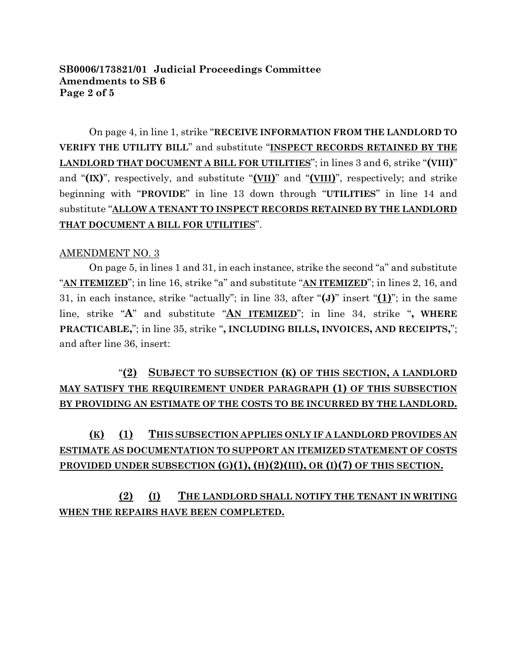## **SB0006/173821/01 Judicial Proceedings Committee Amendments to SB 6 Page 2 of 5**

On page 4, in line 1, strike "**RECEIVE INFORMATION FROM THE LANDLORD TO VERIFY THE UTILITY BILL**" and substitute "**INSPECT RECORDS RETAINED BY THE LANDLORD THAT DOCUMENT A BILL FOR UTILITIES**"; in lines 3 and 6, strike "**(VIII)**" and "**(IX)**", respectively, and substitute "**(VII)**" and "**(VIII)**", respectively; and strike beginning with "**PROVIDE**" in line 13 down through "**UTILITIES**" in line 14 and substitute "**ALLOW A TENANT TO INSPECT RECORDS RETAINED BY THE LANDLORD THAT DOCUMENT A BILL FOR UTILITIES**".

# AMENDMENT NO. 3

On page 5, in lines 1 and 31, in each instance, strike the second "a" and substitute "**AN ITEMIZED**"; in line 16, strike "a" and substitute "**AN ITEMIZED**"; in lines 2, 16, and 31, in each instance, strike "actually"; in line 33, after "**(J)**" insert "**(1)**"; in the same line, strike "**A**" and substitute "**AN ITEMIZED**"; in line 34, strike "**, WHERE PRACTICABLE,**"; in line 35, strike "**, INCLUDING BILLS, INVOICES, AND RECEIPTS,**"; and after line 36, insert:

"**(2) SUBJECT TO SUBSECTION (K) OF THIS SECTION, A LANDLORD MAY SATISFY THE REQUIREMENT UNDER PARAGRAPH (1) OF THIS SUBSECTION BY PROVIDING AN ESTIMATE OF THE COSTS TO BE INCURRED BY THE LANDLORD.**

# **(K) (1) THIS SUBSECTION APPLIES ONLY IF A LANDLORD PROVIDES AN ESTIMATE AS DOCUMENTATION TO SUPPORT AN ITEMIZED STATEMENT OF COSTS PROVIDED UNDER SUBSECTION (G)(1), (H)(2)(III), OR (I)(7) OF THIS SECTION.**

**(2) (I) THE LANDLORD SHALL NOTIFY THE TENANT IN WRITING WHEN THE REPAIRS HAVE BEEN COMPLETED.**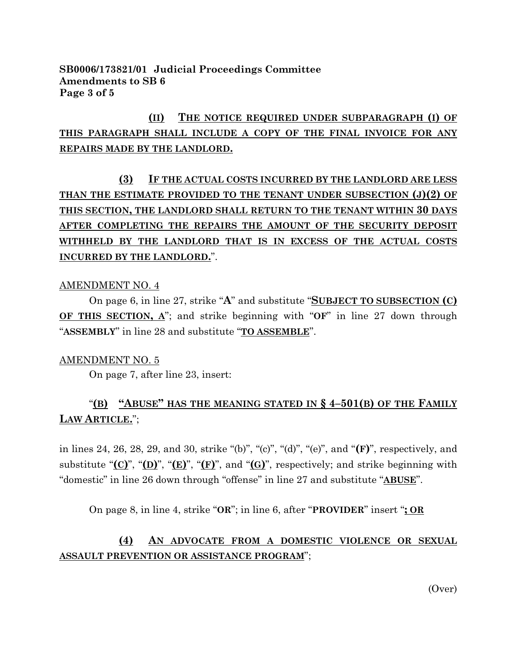**SB0006/173821/01 Judicial Proceedings Committee Amendments to SB 6 Page 3 of 5**

# **(II) THE NOTICE REQUIRED UNDER SUBPARAGRAPH (I) OF THIS PARAGRAPH SHALL INCLUDE A COPY OF THE FINAL INVOICE FOR ANY REPAIRS MADE BY THE LANDLORD.**

**(3) IF THE ACTUAL COSTS INCURRED BY THE LANDLORD ARE LESS THAN THE ESTIMATE PROVIDED TO THE TENANT UNDER SUBSECTION (J)(2) OF THIS SECTION, THE LANDLORD SHALL RETURN TO THE TENANT WITHIN 30 DAYS AFTER COMPLETING THE REPAIRS THE AMOUNT OF THE SECURITY DEPOSIT WITHHELD BY THE LANDLORD THAT IS IN EXCESS OF THE ACTUAL COSTS INCURRED BY THE LANDLORD.**".

### AMENDMENT NO. 4

On page 6, in line 27, strike "**A**" and substitute "**SUBJECT TO SUBSECTION (C) OF THIS SECTION, A**"; and strike beginning with "**OF**" in line 27 down through "**ASSEMBLY**" in line 28 and substitute "**TO ASSEMBLE**".

### AMENDMENT NO. 5

On page 7, after line 23, insert:

# "**(B) "ABUSE" HAS THE MEANING STATED IN § 4–501(B) OF THE FAMILY LAW ARTICLE.**";

in lines 24, 26, 28, 29, and 30, strike "(b)", "(c)", "(d)", "(e)", and "**(F)**", respectively, and substitute "**(C)**", "**(D)**", "**(E)**", "**(F)**", and "**(G)**", respectively; and strike beginning with "domestic" in line 26 down through "offense" in line 27 and substitute "**ABUSE**".

On page 8, in line 4, strike "**OR**"; in line 6, after "**PROVIDER**" insert "**; OR**

# **(4) AN ADVOCATE FROM A DOMESTIC VIOLENCE OR SEXUAL ASSAULT PREVENTION OR ASSISTANCE PROGRAM**";

(Over)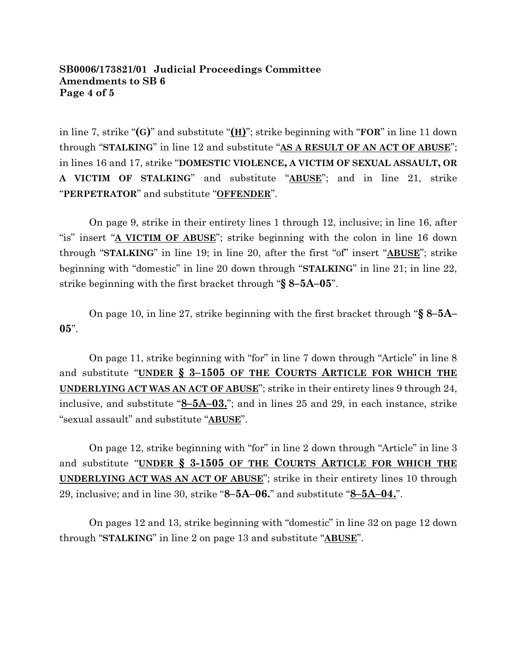## **SB0006/173821/01 Judicial Proceedings Committee Amendments to SB 6 Page 4 of 5**

in line 7, strike "**(G)**" and substitute "**(H)**"; strike beginning with "**FOR**" in line 11 down through "**STALKING**" in line 12 and substitute "**AS A RESULT OF AN ACT OF ABUSE**"; in lines 16 and 17, strike "**DOMESTIC VIOLENCE, A VICTIM OF SEXUAL ASSAULT, OR A VICTIM OF STALKING**" and substitute "**ABUSE**"; and in line 21, strike "**PERPETRATOR**" and substitute "**OFFENDER**".

On page 9, strike in their entirety lines 1 through 12, inclusive; in line 16, after "is" insert "**A VICTIM OF ABUSE**"; strike beginning with the colon in line 16 down through "**STALKING**" in line 19; in line 20, after the first "of" insert "**ABUSE**"; strike beginning with "domestic" in line 20 down through "**STALKING**" in line 21; in line 22, strike beginning with the first bracket through "**§ 8–5A–05**".

On page 10, in line 27, strike beginning with the first bracket through "**§ 8–5A– 05**".

On page 11, strike beginning with "for" in line 7 down through "Article" in line 8 and substitute "**UNDER § 3–1505 OF THE COURTS ARTICLE FOR WHICH THE UNDERLYING ACT WAS AN ACT OF ABUSE**"; strike in their entirety lines 9 through 24, inclusive, and substitute "**8–5A–03.**"; and in lines 25 and 29, in each instance, strike "sexual assault" and substitute "**ABUSE**".

On page 12, strike beginning with "for" in line 2 down through "Article" in line 3 and substitute "**UNDER § 3-1505 OF THE COURTS ARTICLE FOR WHICH THE UNDERLYING ACT WAS AN ACT OF ABUSE**"; strike in their entirety lines 10 through 29, inclusive; and in line 30, strike "**8–5A–06.**" and substitute "**8–5A–04.**".

On pages 12 and 13, strike beginning with "domestic" in line 32 on page 12 down through "**STALKING**" in line 2 on page 13 and substitute "**ABUSE**".